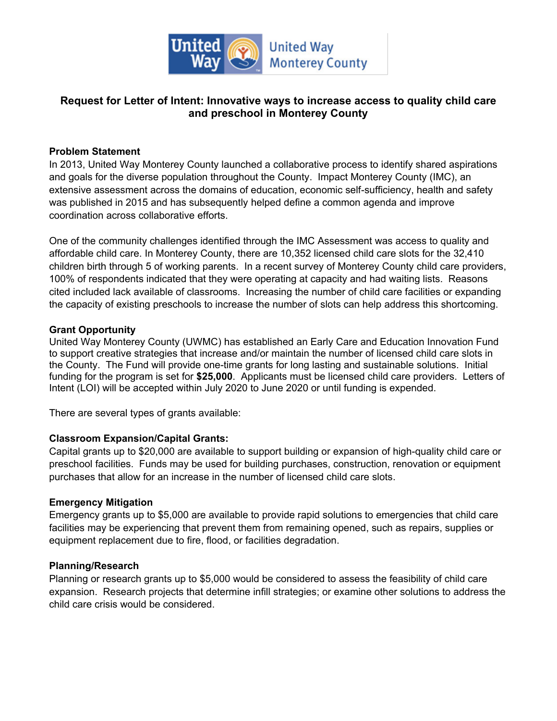

# **Request for Letter of Intent: Innovative ways to increase access to quality child care and preschool in Monterey County**

### **Problem Statement**

In 2013, United Way Monterey County launched a collaborative process to identify shared aspirations and goals for the diverse population throughout the County. Impact Monterey County (IMC), an extensive assessment across the domains of education, economic self-sufficiency, health and safety was published in 2015 and has subsequently helped define a common agenda and improve coordination across collaborative efforts.

One of the community challenges identified through the IMC Assessment was access to quality and affordable child care. In Monterey County, there are 10,352 licensed child care slots for the 32,410 children birth through 5 of working parents. In a recent survey of Monterey County child care providers, 100% of respondents indicated that they were operating at capacity and had waiting lists. Reasons cited included lack available of classrooms. Increasing the number of child care facilities or expanding the capacity of existing preschools to increase the number of slots can help address this shortcoming.

### **Grant Opportunity**

United Way Monterey County (UWMC) has established an Early Care and Education Innovation Fund to support creative strategies that increase and/or maintain the number of licensed child care slots in the County. The Fund will provide one-time grants for long lasting and sustainable solutions. Initial funding for the program is set for **\$25,000**. Applicants must be licensed child care providers. Letters of Intent (LOI) will be accepted within July 2020 to June 2020 or until funding is expended.

There are several types of grants available:

## **Classroom Expansion/Capital Grants:**

Capital grants up to \$20,000 are available to support building or expansion of high-quality child care or preschool facilities. Funds may be used for building purchases, construction, renovation or equipment purchases that allow for an increase in the number of licensed child care slots.

## **Emergency Mitigation**

Emergency grants up to \$5,000 are available to provide rapid solutions to emergencies that child care facilities may be experiencing that prevent them from remaining opened, such as repairs, supplies or equipment replacement due to fire, flood, or facilities degradation.

### **Planning/Research**

Planning or research grants up to \$5,000 would be considered to assess the feasibility of child care expansion. Research projects that determine infill strategies; or examine other solutions to address the child care crisis would be considered.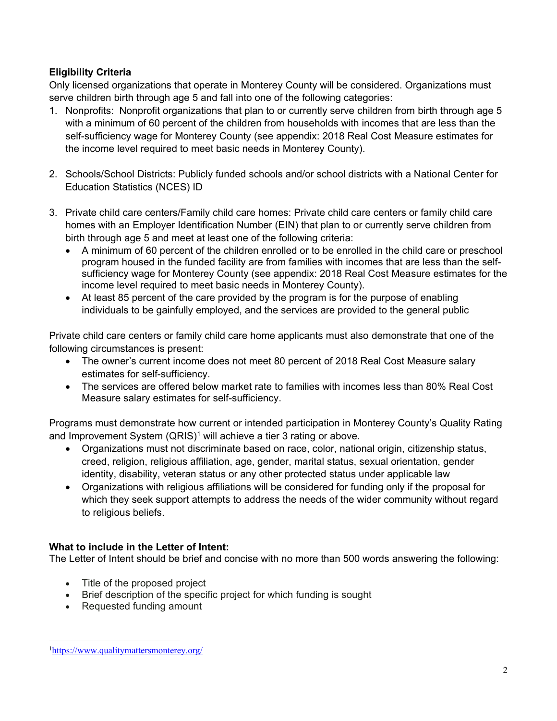## **Eligibility Criteria**

Only licensed organizations that operate in Monterey County will be considered. Organizations must serve children birth through age 5 and fall into one of the following categories:

- 1. Nonprofits: Nonprofit organizations that plan to or currently serve children from birth through age 5 with a minimum of 60 percent of the children from households with incomes that are less than the self-sufficiency wage for Monterey County (see appendix: 2018 Real Cost Measure estimates for the income level required to meet basic needs in Monterey County).
- 2. Schools/School Districts: Publicly funded schools and/or school districts with a National Center for Education Statistics (NCES) ID
- 3. Private child care centers/Family child care homes: Private child care centers or family child care homes with an Employer Identification Number (EIN) that plan to or currently serve children from birth through age 5 and meet at least one of the following criteria:
	- A minimum of 60 percent of the children enrolled or to be enrolled in the child care or preschool program housed in the funded facility are from families with incomes that are less than the selfsufficiency wage for Monterey County (see appendix: 2018 Real Cost Measure estimates for the income level required to meet basic needs in Monterey County).
	- At least 85 percent of the care provided by the program is for the purpose of enabling individuals to be gainfully employed, and the services are provided to the general public

Private child care centers or family child care home applicants must also demonstrate that one of the following circumstances is present:

- The owner's current income does not meet 80 percent of 2018 Real Cost Measure salary estimates for self-sufficiency.
- The services are offered below market rate to families with incomes less than 80% Real Cost Measure salary estimates for self-sufficiency.

Programs must demonstrate how current or intended participation in Monterey County's Quality Rating and Improvement System (QRIS)<sup>1</sup> will achieve a tier 3 rating or above.

- Organizations must not discriminate based on race, color, national origin, citizenship status, creed, religion, religious affiliation, age, gender, marital status, sexual orientation, gender identity, disability, veteran status or any other protected status under applicable law
- Organizations with religious affiliations will be considered for funding only if the proposal for which they seek support attempts to address the needs of the wider community without regard to religious beliefs.

## **What to include in the Letter of Intent:**

The Letter of Intent should be brief and concise with no more than 500 words answering the following:

- Title of the proposed project
- Brief description of the specific project for which funding is sought
- Requested funding amount

<sup>1</sup><https://www.qualitymattersmonterey.org/>